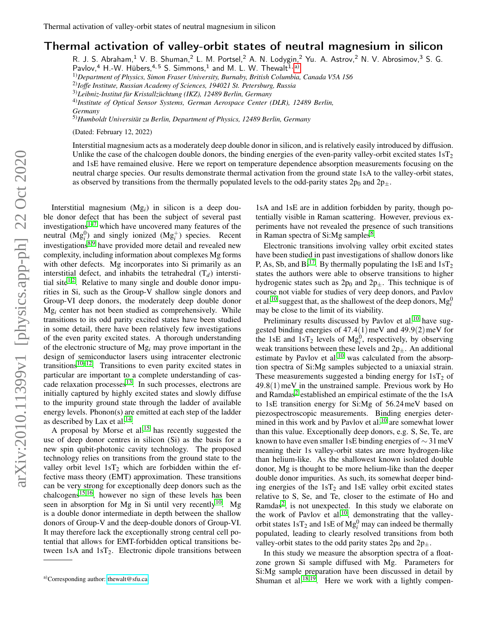## Thermal activation of valley-orbit states of neutral magnesium in silicon

R. J. S. Abraham,<sup>1</sup> V. B. Shuman,<sup>2</sup> L. M. Portsel,<sup>2</sup> A. N. Lodygin,<sup>2</sup> Yu. A. Astrov,<sup>2</sup> N. V. Abrosimov,<sup>3</sup> S. G.

Pavlov,<sup>4</sup> H.-W. Hübers,<sup>4,5</sup> S. Simmons,<sup>1</sup> and M. L. W. Thewalt<sup>1, [a\)](#page-0-0)</sup>

1)*Department of Physics, Simon Fraser University, Burnaby, British Columbia, Canada V5A 1S6*

2)*Ioffe Institute, Russian Academy of Sciences, 194021 St. Petersburg, Russia*

4)*Institute of Optical Sensor Systems, German Aerospace Center (DLR), 12489 Berlin, Germany*

5)*Humboldt Universitat zu Berlin, Department of Physics, 12489 Berlin, Germany* ¨

(Dated: February 12, 2022)

Interstitial magnesium acts as a moderately deep double donor in silicon, and is relatively easily introduced by diffusion. Unlike the case of the chalcogen double donors, the binding energies of the even-parity valley-orbit excited states  $1sT<sub>2</sub>$ and 1sE have remained elusive. Here we report on temperature dependence absorption measurements focusing on the neutral charge species. Our results demonstrate thermal activation from the ground state 1sA to the valley-orbit states, as observed by transitions from the thermally populated levels to the odd-parity states  $2p_0$  and  $2p_{\pm}$ .

Interstitial magnesium (Mg*i*) in silicon is a deep double donor defect that has been the subject of several past investigations[1](#page-2-0)[–7](#page-2-1) which have uncovered many features of the neutral  $(Mg_i^0)$  and singly ionized  $(Mg_i^+)$  species. Recent investigations[8](#page-2-2)[,9](#page-2-3) have provided more detail and revealed new complexity, including information about complexes Mg forms with other defects. Mg incorporates into Si primarily as an interstitial defect, and inhabits the tetrahedral  $(T_d)$  intersti-tial site<sup>[1,](#page-2-0)[2](#page-2-4)</sup>. Relative to many single and double donor impurities in Si, such as the Group-V shallow single donors and Group-VI deep donors, the moderately deep double donor Mg*<sup>i</sup>* center has not been studied as comprehensively. While transitions to its odd parity excited states have been studied in some detail, there have been relatively few investigations of the even parity excited states. A thorough understanding of the electronic structure of Mg*<sup>i</sup>* may prove important in the design of semiconductor lasers using intracenter electronic transitions<sup>[10–](#page-2-5)[12](#page-2-6)</sup>. Transitions to even parity excited states in particular are important to a complete understanding of cascade relaxation processes $13$ . In such processes, electrons are initially captured by highly excited states and slowly diffuse to the impurity ground state through the ladder of available energy levels. Phonon(s) are emitted at each step of the ladder as described by Lax et al. $^{14}$  $^{14}$  $^{14}$ .

A proposal by Morse et al.<sup>[15](#page-2-9)</sup> has recently suggested the use of deep donor centres in silicon (Si) as the basis for a new spin qubit-photonic cavity technology. The proposed technology relies on transitions from the ground state to the valley orbit level  $1sT<sub>2</sub>$  which are forbidden within the effective mass theory (EMT) approximation. These transitions can be very strong for exceptionally deep donors such as the  $chalcogens<sup>15,16</sup>$  $chalcogens<sup>15,16</sup>$  $chalcogens<sup>15,16</sup>$  $chalcogens<sup>15,16</sup>$ , however no sign of these levels has been seen in absorption for Mg in Si until very recently<sup>[10](#page-2-5)</sup>. Mg is a double donor intermediate in depth between the shallow donors of Group-V and the deep-double donors of Group-VI. It may therefore lack the exceptionally strong central cell potential that allows for EMT-forbidden optical transitions between  $1sA$  and  $1sT<sub>2</sub>$ . Electronic dipole transitions between

1sA and 1sE are in addition forbidden by parity, though potentially visible in Raman scattering. However, previous experiments have not revealed the presence of such transitions in Raman spectra of Si:Mg samples<sup>[8](#page-2-2)</sup>.

Electronic transitions involving valley orbit excited states have been studied in past investigations of shallow donors like P, As, Sb, and  $Bi^{17}$  $Bi^{17}$  $Bi^{17}$ . By thermally populating the 1sE and  $1sT_2$ states the authors were able to observe transitions to higher hydrogenic states such as  $2p_0$  and  $2p_{\pm}$ . This technique is of course not viable for studies of very deep donors, and Pavlov et al.<sup>[10](#page-2-5)</sup> suggest that, as the shallowest of the deep donors,  $Mg_i^0$ may be close to the limit of its viability.

Preliminary results discussed by Pavlov et al.<sup>[10](#page-2-5)</sup> have suggested binding energies of  $47.4(1)$  meV and  $49.9(2)$  meV for the 1sE and  $1sT_2$  levels of  $Mg_i^0$ , respectively, by observing weak transitions between these levels and  $2p_{+}$ . An additional estimate by Pavlov et al. $10$  was calculated from the absorption spectra of Si:Mg samples subjected to a uniaxial strain. These measurements suggested a binding energy for  $1sT_2$  of  $49.8(1)$  meV in the unstrained sample. Previous work by Ho and Ramdas<sup>[2](#page-2-4)</sup> established an empirical estimate of the the 1sA to 1sE transition energy for Si:Mg of 56.24meV based on piezospectroscopic measurements. Binding energies deter-mined in this work and by Pavlov et al.<sup>[10](#page-2-5)</sup> are somewhat lower than this value. Exceptionally deep donors, e.g. S, Se, Te, are known to have even smaller 1sE binding energies of ∼ 31meV meaning their 1s valley-orbit states are more hydrogen-like than helium-like. As the shallowest known isolated double donor, Mg is thought to be more helium-like than the deeper double donor impurities. As such, its somewhat deeper binding energies of the  $1sT_2$  and  $1sE$  valley orbit excited states relative to S, Se, and Te, closer to the estimate of Ho and Ramdas<sup>[2](#page-2-4)</sup>, is not unexpected. In this study we elaborate on the work of Pavlov et al.<sup>[10](#page-2-5)</sup>, demonstrating that the valleyorbit states  $1sT_2$  and  $1sE$  of  $Mg_i^0$  may can indeed be thermally populated, leading to clearly resolved transitions from both valley-orbit states to the odd parity states  $2p_0$  and  $2p_+$ .

In this study we measure the absorption spectra of a floatzone grown Si sample diffused with Mg. Parameters for Si:Mg sample preparation have been discussed in detail by Shuman et al.<sup>[18](#page-2-12)[,19](#page-2-13)</sup>. Here we work with a lightly compen-

<sup>&</sup>lt;sup>3)</sup>Leibniz-Institut für Kristallzüchtung (IKZ), 12489 Berlin, Germany

<span id="page-0-0"></span>a)Corresponding author: [thewalt@sfu.ca](mailto:thewalt@sfu.ca)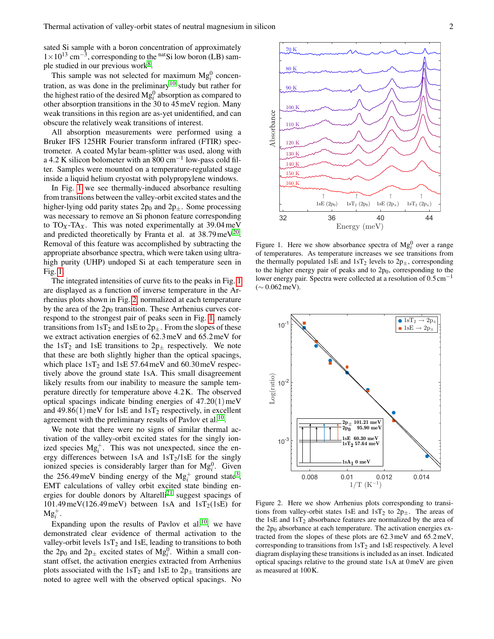sated Si sample with a boron concentration of approximately  $1 \times 10^{13}$  cm<sup>-3</sup>, corresponding to the <sup>nat</sup>Si low boron (LB) sam-ple studied in our previous work<sup>[8](#page-2-2)</sup>.

This sample was not selected for maximum  $Mg_i^0$  concen-tration, as was done in the preliminary<sup>[10](#page-2-5)</sup> study but rather for the highest ratio of the desired  $Mg_i^0$  absorption as compared to other absorption transitions in the 30 to 45meV region. Many weak transitions in this region are as-yet unidentified, and can obscure the relatively weak transitions of interest.

All absorption measurements were performed using a Bruker IFS 125HR Fourier transform infrared (FTIR) spectrometer. A coated Mylar beam-splitter was used, along with a 4.2 K silicon bolometer with an  $800 \text{ cm}^{-1}$  low-pass cold filter. Samples were mounted on a temperature-regulated stage inside a liquid helium cryostat with polypropylene windows.

In Fig. [1](#page-1-0) we see thermally-induced absorbance resulting from transitions between the valley-orbit excited states and the higher-lying odd parity states  $2p_0$  and  $2p_{\pm}$ . Some processing was necessary to remove an Si phonon feature corresponding to  $TO<sub>X</sub>$ -TA<sub>X</sub>. This was noted experimentally at 39.04 meV and predicted theoretically by Franta et al. at  $38.79 \,\text{meV}^{20}$  $38.79 \,\text{meV}^{20}$  $38.79 \,\text{meV}^{20}$ . Removal of this feature was accomplished by subtracting the appropriate absorbance spectra, which were taken using ultrahigh purity (UHP) undoped Si at each temperature seen in Fig. [1.](#page-1-0)

The integrated intensities of curve fits to the peaks in Fig. [1](#page-1-0) are displayed as a function of inverse temperature in the Arrhenius plots shown in Fig. [2,](#page-1-1) normalized at each temperature by the area of the  $2p_0$  transition. These Arrhenius curves correspond to the strongest pair of peaks seen in Fig. [1,](#page-1-0) namely transitions from  $1sT_2$  and  $1sE$  to  $2p_{\pm}$ . From the slopes of these we extract activation energies of 62.3meV and 65.2meV for the  $1sT_2$  and  $1sE$  transitions to  $2p_{\pm}$  respectively. We note that these are both slightly higher than the optical spacings, which place  $1sT_2$  and  $1sE 57.64$  meV and 60.30 meV respectively above the ground state 1sA. This small disagreement likely results from our inability to measure the sample temperature directly for temperature above 4.2K. The observed optical spacings indicate binding energies of  $47.20(1)$  meV and 49.86(1) meV for 1sE and  $1sT_2$  respectively, in excellent agreement with the preliminary results of Pavlov et al.<sup>[10](#page-2-5)</sup>.

We note that there were no signs of similar thermal activation of the valley-orbit excited states for the singly ionized species  $Mg_i^+$ . This was not unexpected, since the energy differences between 1sA and  $1sT_2/1sE$  for the singly ionized species is considerably larger than for  $Mg_i^0$ . Given the 256.49 meV binding energy of the  $Mg_i^+$  ground state<sup>[3](#page-2-15)</sup>, EMT calculations of valley orbit excited state binding en-ergies for double donors by Altarelli<sup>[21](#page-2-16)</sup> suggest spacings of  $101.49 \,\text{meV}$ (126.49meV) between 1sA and  $1sT_2$ (1sE) for  $Mg_i^+$ .

Expanding upon the results of Pavlov et al.<sup>[10](#page-2-5)</sup>, we have demonstrated clear evidence of thermal activation to the valley-orbit levels  $1sT_2$  and  $1sE$ , leading to transitions to both the  $2p_0$  and  $2p_{\pm}$  excited states of  $Mg_i^0$ . Within a small constant offset, the activation energies extracted from Arrhenius plots associated with the 1sT<sub>2</sub> and 1sE to  $2p_{\pm}$  transitions are noted to agree well with the observed optical spacings. No



<span id="page-1-0"></span>Figure 1. Here we show absorbance spectra of  $Mg_i^0$  over a range of temperatures. As temperature increases we see transitions from the thermally populated 1sE and 1sT<sub>2</sub> levels to  $2p_{\pm}$ , corresponding to the higher energy pair of peaks and to  $2p_0$ , corresponding to the lower energy pair. Spectra were collected at a resolution of  $0.5 \text{ cm}^{-1}$ (∼ 0.062meV).



<span id="page-1-1"></span>Figure 2. Here we show Arrhenius plots corresponding to transitions from valley-orbit states 1sE and  $1sT_2$  to  $2p_{\pm}$ . The areas of the 1sE and  $1sT_2$  absorbance features are normalized by the area of the  $2p_0$  absorbance at each temperature. The activation energies extracted from the slopes of these plots are 62.3meV and 65.2meV, corresponding to transitions from  $1sT_2$  and  $1sE$  respectively. A level diagram displaying these transitions is included as an inset. Indicated optical spacings relative to the ground state 1sA at 0meV are given as measured at 100K.